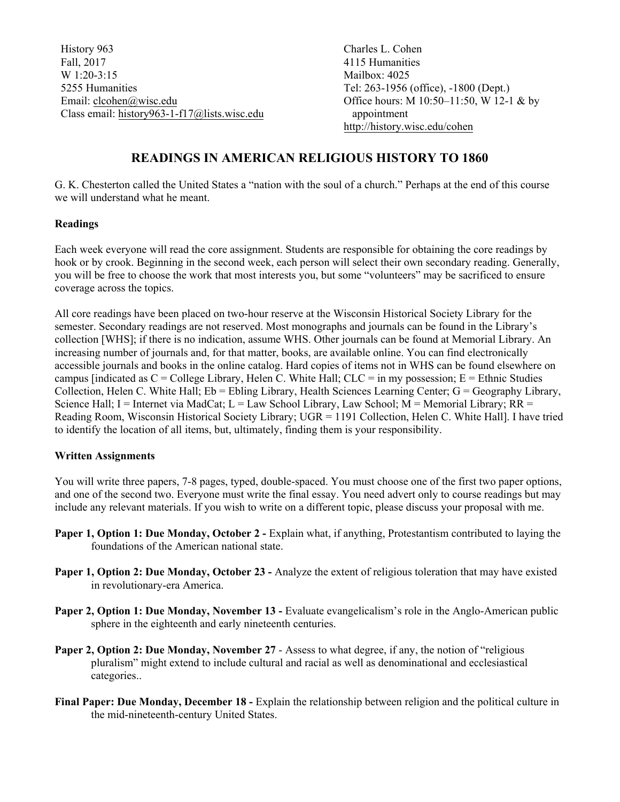History 963 Fall, 2017 W 1:20-3:15 5255 Humanities Email: clcohen@wisc.edu Class email: history963-1-f17@lists.wisc.edu  Charles L. Cohen 4115 Humanities Mailbox: 4025 Tel: 263-1956 (office), -1800 (Dept.) Office hours: M 10:50–11:50, W 12-1 & by appointment http://history.wisc.edu/cohen

# **READINGS IN AMERICAN RELIGIOUS HISTORY TO 1860**

G. K. Chesterton called the United States a "nation with the soul of a church." Perhaps at the end of this course we will understand what he meant.

## **Readings**

Each week everyone will read the core assignment. Students are responsible for obtaining the core readings by hook or by crook. Beginning in the second week, each person will select their own secondary reading. Generally, you will be free to choose the work that most interests you, but some "volunteers" may be sacrificed to ensure coverage across the topics.

All core readings have been placed on two-hour reserve at the Wisconsin Historical Society Library for the semester. Secondary readings are not reserved. Most monographs and journals can be found in the Library's collection [WHS]; if there is no indication, assume WHS. Other journals can be found at Memorial Library. An increasing number of journals and, for that matter, books, are available online. You can find electronically accessible journals and books in the online catalog. Hard copies of items not in WHS can be found elsewhere on campus [indicated as  $C =$  College Library, Helen C. White Hall;  $CLC =$  in my possession; E = Ethnic Studies Collection, Helen C. White Hall;  $Eb = Ebling Library$ , Health Sciences Learning Center;  $G = Geography$  Library, Science Hall; I = Internet via MadCat; L = Law School Library, Law School; M = Memorial Library; RR = Reading Room, Wisconsin Historical Society Library; UGR = 1191 Collection, Helen C. White Hall]. I have tried to identify the location of all items, but, ultimately, finding them is your responsibility.

## **Written Assignments**

You will write three papers, 7-8 pages, typed, double-spaced. You must choose one of the first two paper options, and one of the second two. Everyone must write the final essay. You need advert only to course readings but may include any relevant materials. If you wish to write on a different topic, please discuss your proposal with me.

- **Paper 1, Option 1: Due Monday, October 2 Explain what, if anything, Protestantism contributed to laying the** foundations of the American national state.
- **Paper 1, Option 2: Due Monday, October 23 -** Analyze the extent of religious toleration that may have existed in revolutionary-era America.
- Paper 2, Option 1: Due Monday, November 13 Evaluate evangelicalism's role in the Anglo-American public sphere in the eighteenth and early nineteenth centuries.
- **Paper 2, Option 2: Due Monday, November 27**  Assess to what degree, if any, the notion of "religious pluralism" might extend to include cultural and racial as well as denominational and ecclesiastical categories..
- **Final Paper: Due Monday, December 18 -** Explain the relationship between religion and the political culture in the mid-nineteenth-century United States.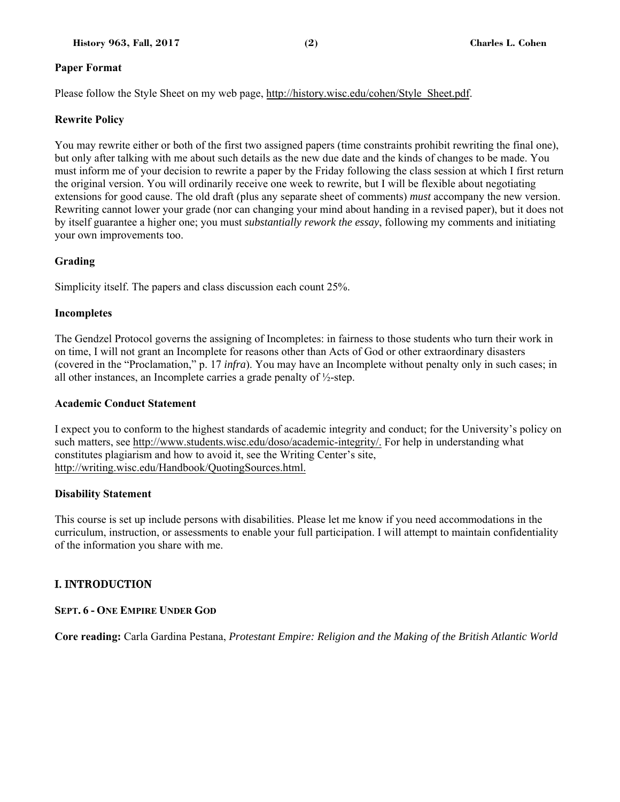## **Paper Format**

Please follow the Style Sheet on my web page, http://history.wisc.edu/cohen/Style\_Sheet.pdf.

## **Rewrite Policy**

You may rewrite either or both of the first two assigned papers (time constraints prohibit rewriting the final one), but only after talking with me about such details as the new due date and the kinds of changes to be made. You must inform me of your decision to rewrite a paper by the Friday following the class session at which I first return the original version. You will ordinarily receive one week to rewrite, but I will be flexible about negotiating extensions for good cause. The old draft (plus any separate sheet of comments) *must* accompany the new version. Rewriting cannot lower your grade (nor can changing your mind about handing in a revised paper), but it does not by itself guarantee a higher one; you must *substantially rework the essay*, following my comments and initiating your own improvements too.

## **Grading**

Simplicity itself. The papers and class discussion each count 25%.

## **Incompletes**

The Gendzel Protocol governs the assigning of Incompletes: in fairness to those students who turn their work in on time, I will not grant an Incomplete for reasons other than Acts of God or other extraordinary disasters (covered in the "Proclamation," p. 17 *infra*). You may have an Incomplete without penalty only in such cases; in all other instances, an Incomplete carries a grade penalty of ½-step.

## **Academic Conduct Statement**

I expect you to conform to the highest standards of academic integrity and conduct; for the University's policy on such matters, see http://www.students.wisc.edu/doso/academic-integrity/. For help in understanding what constitutes plagiarism and how to avoid it, see the Writing Center's site, http://writing.wisc.edu/Handbook/QuotingSources.html.

## **Disability Statement**

This course is set up include persons with disabilities. Please let me know if you need accommodations in the curriculum, instruction, or assessments to enable your full participation. I will attempt to maintain confidentiality of the information you share with me.

## I. INTRODUCTION

## **SEPT. 6 - ONE EMPIRE UNDER GOD**

**Core reading:** Carla Gardina Pestana, *Protestant Empire: Religion and the Making of the British Atlantic World*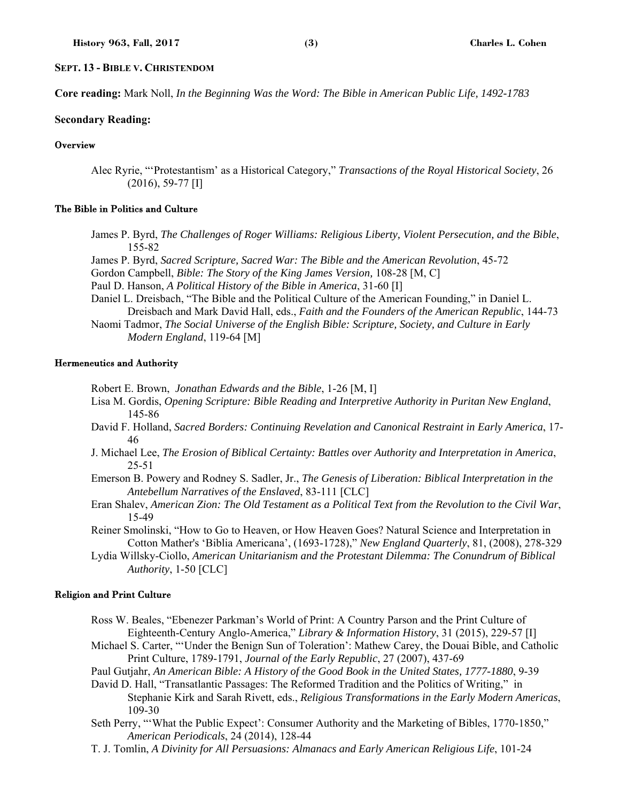#### **SEPT. 13 - BIBLE V. CHRISTENDOM**

**Core reading:** Mark Noll, *In the Beginning Was the Word: The Bible in American Public Life, 1492-1783*

#### **Secondary Reading:**

## **Overview**

Alec Ryrie, "'Protestantism' as a Historical Category," *Transactions of the Royal Historical Society*, 26 (2016), 59-77 [I]

#### The Bible in Politics and Culture

- James P. Byrd, *The Challenges of Roger Williams: Religious Liberty, Violent Persecution, and the Bible*, 155-82
- James P. Byrd, *Sacred Scripture, Sacred War: The Bible and the American Revolution*, 45-72 Gordon Campbell, *Bible: The Story of the King James Version,* 108-28 [M, C]
- Paul D. Hanson, *A Political History of the Bible in America*, 31-60 [I]
- Daniel L. Dreisbach, "The Bible and the Political Culture of the American Founding," in Daniel L. Dreisbach and Mark David Hall, eds., *Faith and the Founders of the American Republic*, 144-73 Naomi Tadmor, *The Social Universe of the English Bible: Scripture, Society, and Culture in Early*
- *Modern England*, 119-64 [M]

#### Hermeneutics and Authority

Robert E. Brown, *Jonathan Edwards and the Bible*, 1-26 [M, I]

- Lisa M. Gordis, *Opening Scripture: Bible Reading and Interpretive Authority in Puritan New England*, 145-86
- David F. Holland, *Sacred Borders: Continuing Revelation and Canonical Restraint in Early America*, 17- 46
- J. Michael Lee, *The Erosion of Biblical Certainty: Battles over Authority and Interpretation in America*, 25-51
- Emerson B. Powery and Rodney S. Sadler, Jr., *The Genesis of Liberation: Biblical Interpretation in the Antebellum Narratives of the Enslaved*, 83-111 [CLC]
- Eran Shalev, *American Zion: The Old Testament as a Political Text from the Revolution to the Civil War*, 15-49
- Reiner Smolinski, "How to Go to Heaven, or How Heaven Goes? Natural Science and Interpretation in Cotton Mather's 'Biblia Americana', (1693-1728)," *New England Quarterly*, 81, (2008), 278-329
- Lydia Willsky-Ciollo, *American Unitarianism and the Protestant Dilemma: The Conundrum of Biblical Authority*, 1-50 [CLC]

#### Religion and Print Culture

- Ross W. Beales, "Ebenezer Parkman's World of Print: A Country Parson and the Print Culture of Eighteenth-Century Anglo-America," *Library & Information History*, 31 (2015), 229-57 [I]
- Michael S. Carter, "'Under the Benign Sun of Toleration': Mathew Carey, the Douai Bible, and Catholic Print Culture, 1789-1791, *Journal of the Early Republic*, 27 (2007), 437-69
- Paul Gutjahr, *An American Bible: A History of the Good Book in the United States, 1777-1880*, 9-39
- David D. Hall, "Transatlantic Passages: The Reformed Tradition and the Politics of Writing," in Stephanie Kirk and Sarah Rivett, eds., *Religious Transformations in the Early Modern Americas*, 109-30
- Seth Perry, "'What the Public Expect': Consumer Authority and the Marketing of Bibles, 1770-1850," *American Periodicals*, 24 (2014), 128-44
- T. J. Tomlin, *A Divinity for All Persuasions: Almanacs and Early American Religious Life*, 101-24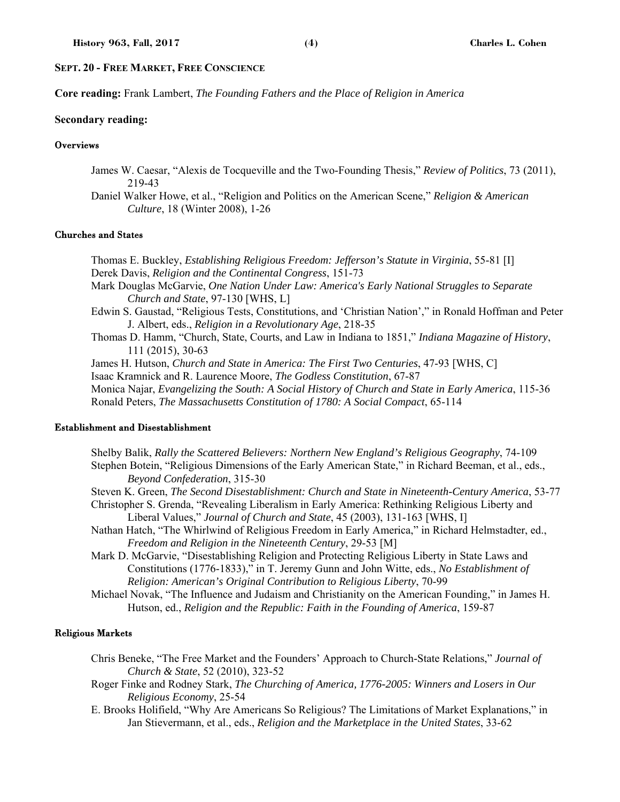## **SEPT. 20 - FREE MARKET, FREE CONSCIENCE**

**Core reading:** Frank Lambert, *The Founding Fathers and the Place of Religion in America*

#### **Secondary reading:**

## **Overviews**

- James W. Caesar, "Alexis de Tocqueville and the Two-Founding Thesis," *Review of Politics*, 73 (2011), 219-43
- Daniel Walker Howe, et al., "Religion and Politics on the American Scene," *Religion & American Culture*, 18 (Winter 2008), 1-26

#### Churches and States

Thomas E. Buckley, *Establishing Religious Freedom: Jefferson's Statute in Virginia*, 55-81 [I] Derek Davis, *Religion and the Continental Congress*, 151-73 Mark Douglas McGarvie, *One Nation Under Law: America's Early National Struggles to Separate Church and State*, 97-130 [WHS, L] Edwin S. Gaustad, "Religious Tests, Constitutions, and 'Christian Nation'," in Ronald Hoffman and Peter J. Albert, eds., *Religion in a Revolutionary Age*, 218-35 Thomas D. Hamm, "Church, State, Courts, and Law in Indiana to 1851," *Indiana Magazine of History*, 111 (2015), 30-63 James H. Hutson, *Church and State in America: The First Two Centuries*, 47-93 [WHS, C] Isaac Kramnick and R. Laurence Moore, *The Godless Constitution*, 67-87 Monica Najar, *Evangelizing the South: A Social History of Church and State in Early America*, 115-36 Ronald Peters, *The Massachusetts Constitution of 1780: A Social Compact*, 65-114

#### Establishment and Disestablishment

Shelby Balik, *Rally the Scattered Believers: Northern New England's Religious Geography*, 74-109 Stephen Botein, "Religious Dimensions of the Early American State," in Richard Beeman, et al., eds., *Beyond Confederation*, 315-30

Steven K. Green, *The Second Disestablishment: Church and State in Nineteenth-Century America*, 53-77

- Christopher S. Grenda, "Revealing Liberalism in Early America: Rethinking Religious Liberty and Liberal Values," *Journal of Church and State*, 45 (2003), 131-163 [WHS, I]
- Nathan Hatch, "The Whirlwind of Religious Freedom in Early America," in Richard Helmstadter, ed., *Freedom and Religion in the Nineteenth Century*, 29-53 [M]
- Mark D. McGarvie, "Disestablishing Religion and Protecting Religious Liberty in State Laws and Constitutions (1776-1833)," in T. Jeremy Gunn and John Witte, eds., *No Establishment of Religion: American's Original Contribution to Religious Liberty*, 70-99
- Michael Novak, "The Influence and Judaism and Christianity on the American Founding," in James H. Hutson, ed., *Religion and the Republic: Faith in the Founding of America*, 159-87

#### Religious Markets

- Chris Beneke, "The Free Market and the Founders' Approach to Church-State Relations," *Journal of Church & State*, 52 (2010), 323-52
- Roger Finke and Rodney Stark, *The Churching of America, 1776-2005: Winners and Losers in Our Religious Economy*, 25-54
- E. Brooks Holifield, "Why Are Americans So Religious? The Limitations of Market Explanations," in Jan Stievermann, et al., eds., *Religion and the Marketplace in the United States*, 33-62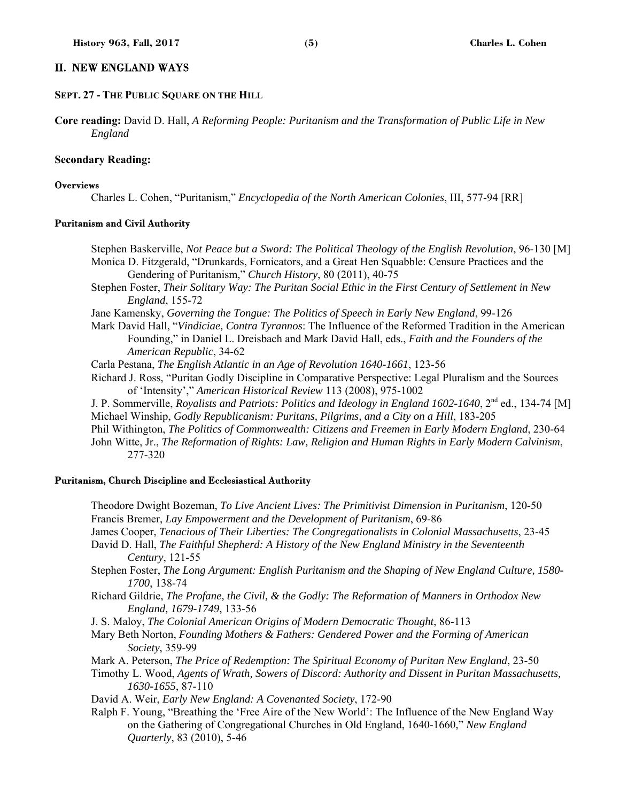## II. NEW ENGLAND WAYS

## **SEPT. 27 - THE PUBLIC SQUARE ON THE HILL**

**Core reading:** David D. Hall, *A Reforming People: Puritanism and the Transformation of Public Life in New England*

#### **Secondary Reading:**

#### **Overviews**

Charles L. Cohen, "Puritanism," *Encyclopedia of the North American Colonies*, III, 577-94 [RR]

## Puritanism and Civil Authority

Stephen Baskerville, *Not Peace but a Sword: The Political Theology of the English Revolution*, 96-130 [M] Monica D. Fitzgerald, "Drunkards, Fornicators, and a Great Hen Squabble: Censure Practices and the Gendering of Puritanism," *Church History*, 80 (2011), 40-75

Stephen Foster, *Their Solitary Way: The Puritan Social Ethic in the First Century of Settlement in New England*, 155-72

Jane Kamensky, *Governing the Tongue: The Politics of Speech in Early New England*, 99-126

Mark David Hall, "*Vindiciae, Contra Tyrannos*: The Influence of the Reformed Tradition in the American Founding," in Daniel L. Dreisbach and Mark David Hall, eds., *Faith and the Founders of the American Republic*, 34-62

Carla Pestana, *The English Atlantic in an Age of Revolution 1640-1661*, 123-56

Richard J. Ross, "Puritan Godly Discipline in Comparative Perspective: Legal Pluralism and the Sources of 'Intensity'," *American Historical Review* 113 (2008), 975-1002

J. P. Sommerville, *Royalists and Patriots: Politics and Ideology in England 1602-1640*, 2<sup>nd</sup> ed., 134-74 [M] Michael Winship, *Godly Republicanism: Puritans, Pilgrims, and a City on a Hill*, 183-205

Phil Withington, *The Politics of Commonwealth: Citizens and Freemen in Early Modern England*, 230-64 John Witte, Jr., *The Reformation of Rights: Law, Religion and Human Rights in Early Modern Calvinism*,

277-320

#### Puritanism, Church Discipline and Ecclesiastical Authority

Theodore Dwight Bozeman, *To Live Ancient Lives: The Primitivist Dimension in Puritanism*, 120-50 Francis Bremer, *Lay Empowerment and the Development of Puritanism*, 69-86

James Cooper, *Tenacious of Their Liberties: The Congregationalists in Colonial Massachusetts*, 23-45

- David D. Hall, *The Faithful Shepherd: A History of the New England Ministry in the Seventeenth Century*, 121-55
- Stephen Foster, *The Long Argument: English Puritanism and the Shaping of New England Culture, 1580- 1700*, 138-74
- Richard Gildrie, *The Profane, the Civil, & the Godly: The Reformation of Manners in Orthodox New England, 1679-1749*, 133-56
- J. S. Maloy, *The Colonial American Origins of Modern Democratic Thought*, 86-113
- Mary Beth Norton, *Founding Mothers & Fathers: Gendered Power and the Forming of American Society*, 359-99
- Mark A. Peterson, *The Price of Redemption: The Spiritual Economy of Puritan New England*, 23-50
- Timothy L. Wood, *Agents of Wrath, Sowers of Discord: Authority and Dissent in Puritan Massachusetts, 1630-1655*, 87-110
- David A. Weir, *Early New England: A Covenanted Society*, 172-90
- Ralph F. Young, "Breathing the 'Free Aire of the New World': The Influence of the New England Way on the Gathering of Congregational Churches in Old England, 1640-1660," *New England Quarterly*, 83 (2010), 5-46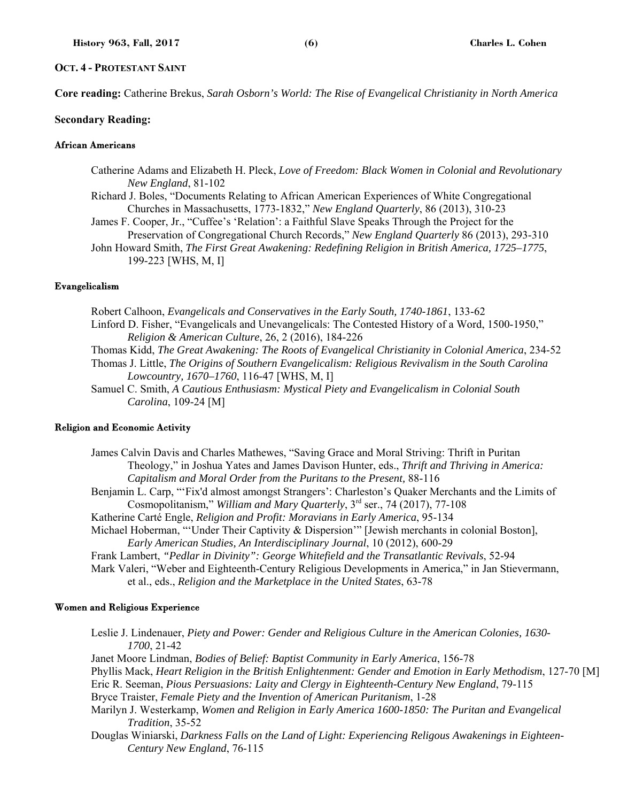## **OCT. 4 - PROTESTANT SAINT**

**Core reading:** Catherine Brekus, *Sarah Osborn's World: The Rise of Evangelical Christianity in North America*

#### **Secondary Reading:**

## African Americans

- Catherine Adams and Elizabeth H. Pleck, *Love of Freedom: Black Women in Colonial and Revolutionary New England*, 81-102
- Richard J. Boles, "Documents Relating to African American Experiences of White Congregational Churches in Massachusetts, 1773-1832," *New England Quarterly*, 86 (2013), 310-23
- James F. Cooper, Jr., "Cuffee's 'Relation': a Faithful Slave Speaks Through the Project for the Preservation of Congregational Church Records," *New England Quarterly* 86 (2013), 293-310
- John Howard Smith, *The First Great Awakening: Redefining Religion in British America, 1725–1775*,

#### Evangelicalism

- Robert Calhoon, *Evangelicals and Conservatives in the Early South, 1740-1861*, 133-62 Linford D. Fisher, "Evangelicals and Unevangelicals: The Contested History of a Word, 1500-1950,"
	- *Religion & American Culture*, 26, 2 (2016), 184-226
- Thomas Kidd, *The Great Awakening: The Roots of Evangelical Christianity in Colonial America*, 234-52
- Thomas J. Little, *The Origins of Southern Evangelicalism: Religious Revivalism in the South Carolina Lowcountry, 1670–1760*, 116-47 [WHS, M, I]
- Samuel C. Smith, *A Cautious Enthusiasm: Mystical Piety and Evangelicalism in Colonial South Carolina*, 109-24 [M]

#### Religion and Economic Activity

- James Calvin Davis and Charles Mathewes, "Saving Grace and Moral Striving: Thrift in Puritan Theology," in Joshua Yates and James Davison Hunter, eds., *Thrift and Thriving in America: Capitalism and Moral Order from the Puritans to the Present,* 88-116
- Benjamin L. Carp, "'Fix'd almost amongst Strangers': Charleston's Quaker Merchants and the Limits of Cosmopolitanism," *William and Mary Quarterly*, 3rd ser., 74 (2017), 77-108
- Katherine Carté Engle, *Religion and Profit: Moravians in Early America*, 95-134
- Michael Hoberman, "'Under Their Captivity & Dispersion'" [Jewish merchants in colonial Boston], *Early American Studies, An Interdisciplinary Journal*, 10 (2012), 600-29
- Frank Lambert, *"Pedlar in Divinity": George Whitefield and the Transatlantic Revivals*, 52-94
- Mark Valeri, "Weber and Eighteenth-Century Religious Developments in America," in Jan Stievermann, et al., eds., *Religion and the Marketplace in the United States*, 63-78

### Women and Religious Experience

- Leslie J. Lindenauer, *Piety and Power: Gender and Religious Culture in the American Colonies, 1630- 1700*, 21-42
- Janet Moore Lindman, *Bodies of Belief: Baptist Community in Early America*, 156-78
- Phyllis Mack, *Heart Religion in the British Enlightenment: Gender and Emotion in Early Methodism*, 127-70 [M] Eric R. Seeman, *Pious Persuasions: Laity and Clergy in Eighteenth-Century New England*, 79-115
- Bryce Traister, *Female Piety and the Invention of American Puritanism*, 1-28
- Marilyn J. Westerkamp, *Women and Religion in Early America 1600-1850: The Puritan and Evangelical Tradition*, 35-52
- Douglas Winiarski, *Darkness Falls on the Land of Light: Experiencing Religous Awakenings in Eighteen-Century New England*, 76-115

<sup>199-223</sup> [WHS, M, I]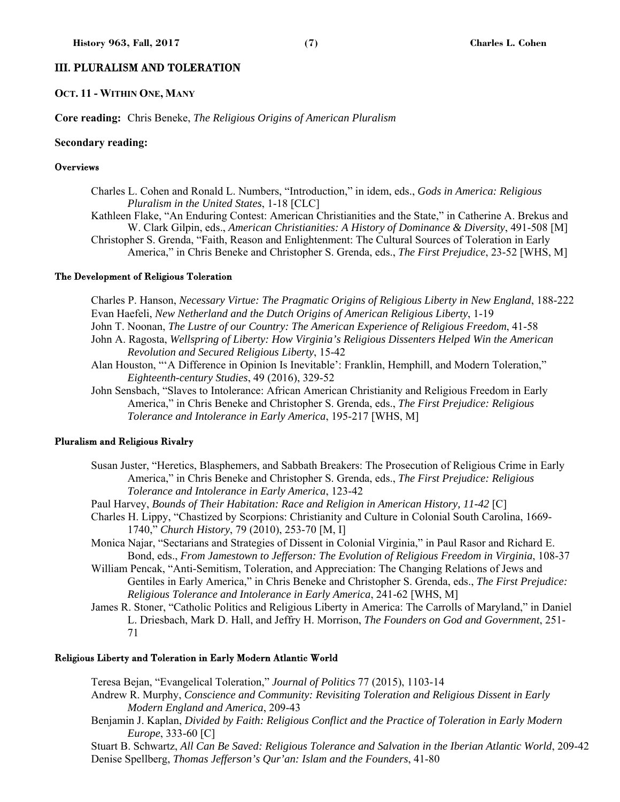## III. PLURALISM AND TOLERATION

#### **OCT. 11 - WITHIN ONE, MANY**

**Core reading:** Chris Beneke, *The Religious Origins of American Pluralism*

#### **Secondary reading:**

#### **Overviews**

- Charles L. Cohen and Ronald L. Numbers, "Introduction," in idem, eds., *Gods in America: Religious Pluralism in the United States*, 1-18 [CLC]
- Kathleen Flake, "An Enduring Contest: American Christianities and the State," in Catherine A. Brekus and W. Clark Gilpin, eds., *American Christianities: A History of Dominance & Diversity*, 491-508 [M] Christopher S. Grenda, "Faith, Reason and Enlightenment: The Cultural Sources of Toleration in Early

America," in Chris Beneke and Christopher S. Grenda, eds., *The First Prejudice*, 23-52 [WHS, M]

#### The Development of Religious Toleration

Charles P. Hanson, *Necessary Virtue: The Pragmatic Origins of Religious Liberty in New England*, 188-222 Evan Haefeli, *New Netherland and the Dutch Origins of American Religious Liberty*, 1-19

- John T. Noonan, *The Lustre of our Country: The American Experience of Religious Freedom*, 41-58
- John A. Ragosta, *Wellspring of Liberty: How Virginia's Religious Dissenters Helped Win the American Revolution and Secured Religious Liberty*, 15-42
- Alan Houston, "'A Difference in Opinion Is Inevitable': Franklin, Hemphill, and Modern Toleration," *Eighteenth-century Studies*, 49 (2016), 329-52
- John Sensbach, "Slaves to Intolerance: African American Christianity and Religious Freedom in Early America," in Chris Beneke and Christopher S. Grenda, eds., *The First Prejudice: Religious Tolerance and Intolerance in Early America*, 195-217 [WHS, M]

#### Pluralism and Religious Rivalry

- Susan Juster, "Heretics, Blasphemers, and Sabbath Breakers: The Prosecution of Religious Crime in Early America," in Chris Beneke and Christopher S. Grenda, eds., *The First Prejudice: Religious Tolerance and Intolerance in Early America*, 123-42
- Paul Harvey, *Bounds of Their Habitation: Race and Religion in American History, 11-42* [C]
- Charles H. Lippy, "Chastized by Scorpions: Christianity and Culture in Colonial South Carolina, 1669- 1740," *Church History*, 79 (2010), 253-70 [M, I]
- Monica Najar, "Sectarians and Strategies of Dissent in Colonial Virginia," in Paul Rasor and Richard E. Bond, eds., *From Jamestown to Jefferson: The Evolution of Religious Freedom in Virginia*, 108-37
- William Pencak, "Anti-Semitism, Toleration, and Appreciation: The Changing Relations of Jews and Gentiles in Early America," in Chris Beneke and Christopher S. Grenda, eds., *The First Prejudice: Religious Tolerance and Intolerance in Early America*, 241-62 [WHS, M]

James R. Stoner, "Catholic Politics and Religious Liberty in America: The Carrolls of Maryland," in Daniel L. Driesbach, Mark D. Hall, and Jeffry H. Morrison, *The Founders on God and Government*, 251- 71

#### Religious Liberty and Toleration in Early Modern Atlantic World

Teresa Bejan, "Evangelical Toleration," *Journal of Politics* 77 (2015), 1103-14

- Andrew R. Murphy, *Conscience and Community: Revisiting Toleration and Religious Dissent in Early Modern England and America*, 209-43
- Benjamin J. Kaplan, *Divided by Faith: Religious Conflict and the Practice of Toleration in Early Modern Europe*, 333-60 [C]

Stuart B. Schwartz, *All Can Be Saved: Religious Tolerance and Salvation in the Iberian Atlantic World*, 209-42 Denise Spellberg, *Thomas Jefferson's Qur'an: Islam and the Founders*, 41-80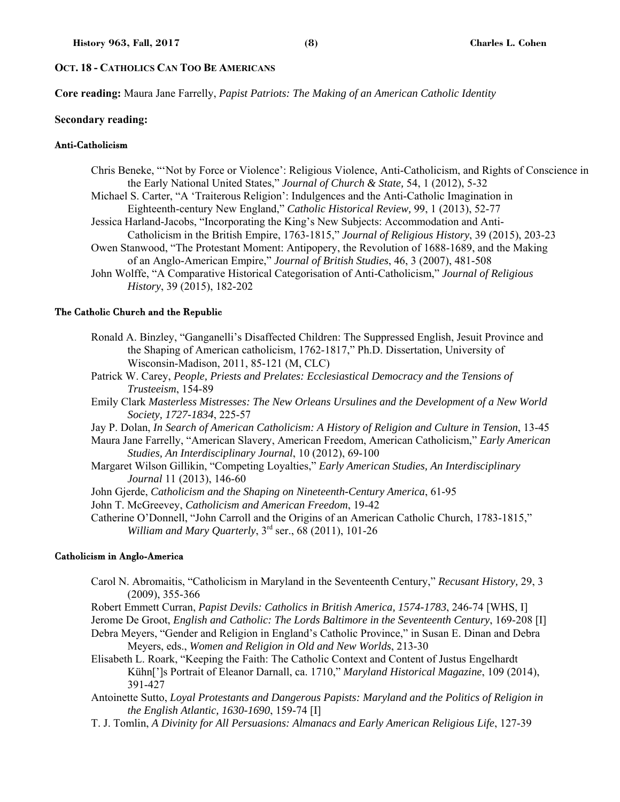## **OCT. 18 - CATHOLICS CAN TOO BE AMERICANS**

**Core reading:** Maura Jane Farrelly, *Papist Patriots: The Making of an American Catholic Identity*

#### **Secondary reading:**

## Anti-Catholicism

- Chris Beneke, "'Not by Force or Violence': Religious Violence, Anti-Catholicism, and Rights of Conscience in the Early National United States," *Journal of Church & State,* 54, 1 (2012), 5-32
- Michael S. Carter, "A 'Traiterous Religion': Indulgences and the Anti-Catholic Imagination in Eighteenth-century New England," *Catholic Historical Review,* 99, 1 (2013), 52-77
- Jessica Harland-Jacobs, "Incorporating the King's New Subjects: Accommodation and Anti-Catholicism in the British Empire, 1763-1815," *Journal of Religious History*, 39 (2015), 203-23
- Owen Stanwood, "The Protestant Moment: Antipopery, the Revolution of 1688-1689, and the Making of an Anglo-American Empire," *Journal of British Studies*, 46, 3 (2007), 481-508
- John Wolffe, "A Comparative Historical Categorisation of Anti-Catholicism," *Journal of Religious History*, 39 (2015), 182-202

#### The Catholic Church and the Republic

- Ronald A. Binzley, "Ganganelli's Disaffected Children: The Suppressed English, Jesuit Province and the Shaping of American catholicism, 1762-1817," Ph.D. Dissertation, University of Wisconsin-Madison, 2011, 85-121 (M, CLC)
- Patrick W. Carey, *People, Priests and Prelates: Ecclesiastical Democracy and the Tensions of Trusteeism*, 154-89
- Emily Clark *Masterless Mistresses: The New Orleans Ursulines and the Development of a New World Society, 1727-1834*, 225-57
- Jay P. Dolan, *In Search of American Catholicism: A History of Religion and Culture in Tension*, 13-45
- Maura Jane Farrelly, "American Slavery, American Freedom, American Catholicism," *Early American Studies, An Interdisciplinary Journal*, 10 (2012), 69-100
- Margaret Wilson Gillikin, "Competing Loyalties," *Early American Studies, An Interdisciplinary Journal* 11 (2013), 146-60
- John Gjerde, *Catholicism and the Shaping on Nineteenth-Century America*, 61-95
- John T. McGreevey, *Catholicism and American Freedom*, 19-42
- Catherine O'Donnell, "John Carroll and the Origins of an American Catholic Church, 1783-1815," *William and Mary Quarterly*, 3rd ser., 68 (2011), 101-26

#### Catholicism in Anglo-America

- Carol N. Abromaitis, "Catholicism in Maryland in the Seventeenth Century," *Recusant History,* 29, 3 (2009), 355-366
- Robert Emmett Curran, *Papist Devils: Catholics in British America, 1574-1783*, 246-74 [WHS, I]
- Jerome De Groot, *English and Catholic: The Lords Baltimore in the Seventeenth Century*, 169-208 [I]
- Debra Meyers, "Gender and Religion in England's Catholic Province," in Susan E. Dinan and Debra Meyers, eds., *Women and Religion in Old and New Worlds*, 213-30
- Elisabeth L. Roark, "Keeping the Faith: The Catholic Context and Content of Justus Engelhardt Kühn[']s Portrait of Eleanor Darnall, ca. 1710," *Maryland Historical Magazine*, 109 (2014), 391-427
- Antoinette Sutto, *Loyal Protestants and Dangerous Papists: Maryland and the Politics of Religion in the English Atlantic, 1630-1690*, 159-74 [I]
- T. J. Tomlin, *A Divinity for All Persuasions: Almanacs and Early American Religious Life*, 127-39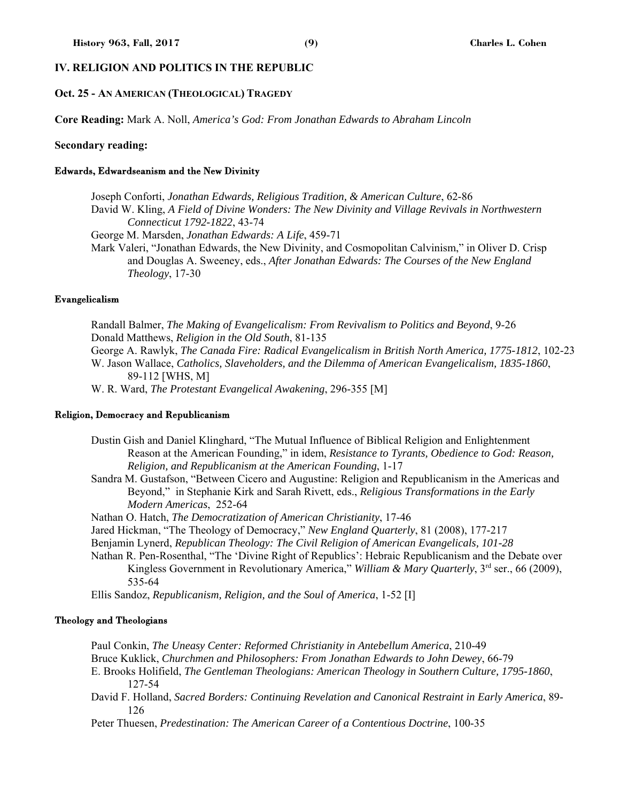## **IV. RELIGION AND POLITICS IN THE REPUBLIC**

### **Oct. 25 - AN AMERICAN (THEOLOGICAL) TRAGEDY**

**Core Reading:** Mark A. Noll, *America's God: From Jonathan Edwards to Abraham Lincoln*

#### **Secondary reading:**

#### Edwards, Edwardseanism and the New Divinity

Joseph Conforti, *Jonathan Edwards, Religious Tradition, & American Culture*, 62-86 David W. Kling, *A Field of Divine Wonders: The New Divinity and Village Revivals in Northwestern Connecticut 1792-1822*, 43-74

George M. Marsden, *Jonathan Edwards: A Life*, 459-71

Mark Valeri, "Jonathan Edwards, the New Divinity, and Cosmopolitan Calvinism," in Oliver D. Crisp and Douglas A. Sweeney, eds., *After Jonathan Edwards: The Courses of the New England Theology*, 17-30

#### Evangelicalism

Randall Balmer, *The Making of Evangelicalism: From Revivalism to Politics and Beyond*, 9-26 Donald Matthews, *Religion in the Old South*, 81-135 George A. Rawlyk, *The Canada Fire: Radical Evangelicalism in British North America, 1775-1812*, 102-23 W. Jason Wallace, *Catholics, Slaveholders, and the Dilemma of American Evangelicalism, 1835-1860*, 89-112 [WHS, M] W. R. Ward, *The Protestant Evangelical Awakening*, 296-355 [M]

#### Religion, Democracy and Republicanism

Dustin Gish and Daniel Klinghard, "The Mutual Influence of Biblical Religion and Enlightenment Reason at the American Founding," in idem, *Resistance to Tyrants, Obedience to God: Reason, Religion, and Republicanism at the American Founding*, 1-17

- Sandra M. Gustafson, "Between Cicero and Augustine: Religion and Republicanism in the Americas and Beyond," in Stephanie Kirk and Sarah Rivett, eds., *Religious Transformations in the Early Modern Americas*, 252-64
- Nathan O. Hatch, *The Democratization of American Christianity*, 17-46
- Jared Hickman, "The Theology of Democracy," *New England Quarterly*, 81 (2008), 177-217
- Benjamin Lynerd, *Republican Theology: The Civil Religion of American Evangelicals, 101-28*
- Nathan R. Pen-Rosenthal, "The 'Divine Right of Republics': Hebraic Republicanism and the Debate over Kingless Government in Revolutionary America," *William & Mary Quarterly*, 3<sup>rd</sup> ser., 66 (2009), 535-64

Ellis Sandoz, *Republicanism, Religion, and the Soul of America*, 1-52 [I]

#### Theology and Theologians

Paul Conkin, *The Uneasy Center: Reformed Christianity in Antebellum America*, 210-49 Bruce Kuklick, *Churchmen and Philosophers: From Jonathan Edwards to John Dewey*, 66-79 E. Brooks Holifield, *The Gentleman Theologians: American Theology in Southern Culture, 1795-1860*, 127-54 David F. Holland, *Sacred Borders: Continuing Revelation and Canonical Restraint in Early America*, 89- 126

Peter Thuesen, *Predestination: The American Career of a Contentious Doctrine*, 100-35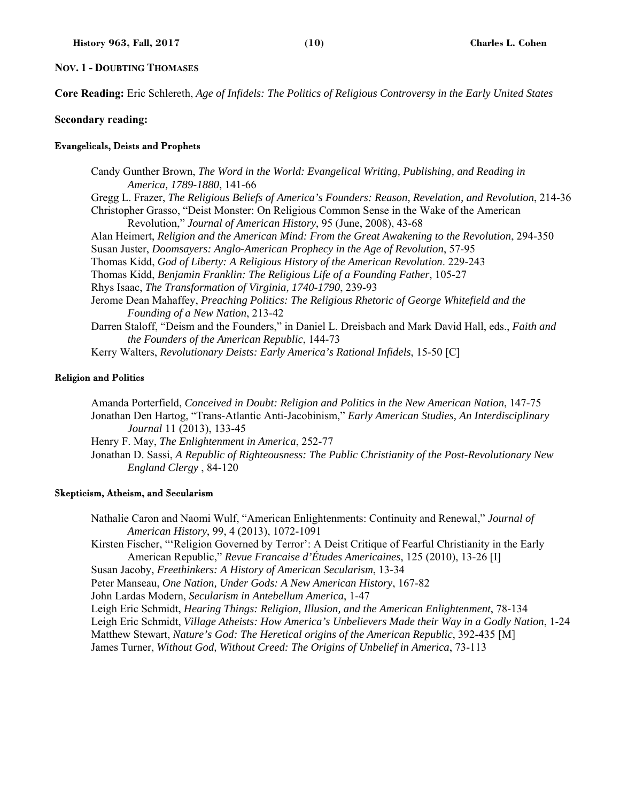### **NOV. 1 - DOUBTING THOMASES**

**Core Reading:** Eric Schlereth, *Age of Infidels: The Politics of Religious Controversy in the Early United States*

#### **Secondary reading:**

#### Evangelicals, Deists and Prophets

Candy Gunther Brown, *The Word in the World: Evangelical Writing, Publishing, and Reading in America, 1789-1880*, 141-66 Gregg L. Frazer, *The Religious Beliefs of America's Founders: Reason, Revelation, and Revolution*, 214-36 Christopher Grasso, "Deist Monster: On Religious Common Sense in the Wake of the American Revolution," *Journal of American History*, 95 (June, 2008), 43-68 Alan Heimert, *Religion and the American Mind: From the Great Awakening to the Revolution*, 294-350 Susan Juster, *Doomsayers: Anglo-American Prophecy in the Age of Revolution*, 57-95 Thomas Kidd, *God of Liberty: A Religious History of the American Revolution*. 229-243 Thomas Kidd, *Benjamin Franklin: The Religious Life of a Founding Father*, 105-27 Rhys Isaac, *The Transformation of Virginia, 1740-1790*, 239-93 Jerome Dean Mahaffey, *Preaching Politics: The Religious Rhetoric of George Whitefield and the Founding of a New Nation*, 213-42 Darren Staloff, "Deism and the Founders," in Daniel L. Dreisbach and Mark David Hall, eds., *Faith and the Founders of the American Republic*, 144-73 Kerry Walters, *Revolutionary Deists: Early America's Rational Infidels*, 15-50 [C]

#### Religion and Politics

Amanda Porterfield, *Conceived in Doubt: Religion and Politics in the New American Nation*, 147-75 Jonathan Den Hartog, "Trans-Atlantic Anti-Jacobinism," *Early American Studies, An Interdisciplinary Journal* 11 (2013), 133-45 Henry F. May, *The Enlightenment in America*, 252-77 Jonathan D. Sassi, *A Republic of Righteousness: The Public Christianity of the Post-Revolutionary New England Clergy* , 84-120

#### Skepticism, Atheism, and Secularism

Nathalie Caron and Naomi Wulf, "American Enlightenments: Continuity and Renewal," *Journal of American History*, 99, 4 (2013), 1072-1091

Kirsten Fischer, "'Religion Governed by Terror': A Deist Critique of Fearful Christianity in the Early American Republic," *Revue Francaise d'Études Americaines*, 125 (2010), 13-26 [I]

Susan Jacoby, *Freethinkers: A History of American Secularism*, 13-34

Peter Manseau, *One Nation, Under Gods: A New American History*, 167-82

John Lardas Modern, *Secularism in Antebellum America*, 1-47

Leigh Eric Schmidt, *Hearing Things: Religion, Illusion, and the American Enlightenment*, 78-134 Leigh Eric Schmidt, *Village Atheists: How America's Unbelievers Made their Way in a Godly Nation*, 1-24 Matthew Stewart, *Nature's God: The Heretical origins of the American Republic*, 392-435 [M] James Turner, *Without God, Without Creed: The Origins of Unbelief in America*, 73-113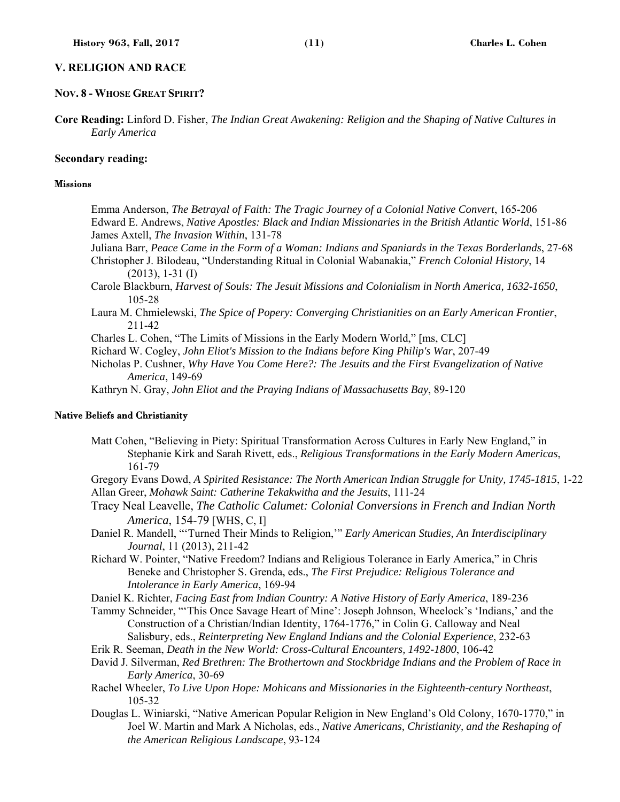## **V. RELIGION AND RACE**

#### **NOV. 8 - WHOSE GREAT SPIRIT?**

**Core Reading:** Linford D. Fisher, *The Indian Great Awakening: Religion and the Shaping of Native Cultures in Early America*

#### **Secondary reading:**

## Missions

Emma Anderson, *The Betrayal of Faith: The Tragic Journey of a Colonial Native Convert*, 165-206 Edward E. Andrews, *Native Apostles: Black and Indian Missionaries in the British Atlantic World*, 151-86 James Axtell, *The Invasion Within*, 131-78

Juliana Barr, *Peace Came in the Form of a Woman: Indians and Spaniards in the Texas Borderlands*, 27-68 Christopher J. Bilodeau, "Understanding Ritual in Colonial Wabanakia," *French Colonial History*, 14 (2013), 1-31 (I)

Carole Blackburn, *Harvest of Souls: The Jesuit Missions and Colonialism in North America, 1632-1650*, 105-28

Laura M. Chmielewski, *The Spice of Popery: Converging Christianities on an Early American Frontier*, 211-42

Charles L. Cohen, "The Limits of Missions in the Early Modern World," [ms, CLC]

Richard W. Cogley, *John Eliot's Mission to the Indians before King Philip's War*, 207-49

Nicholas P. Cushner, *Why Have You Come Here?: The Jesuits and the First Evangelization of Native America*, 149-69

Kathryn N. Gray, *John Eliot and the Praying Indians of Massachusetts Bay*, 89-120

#### Native Beliefs and Christianity

Matt Cohen, "Believing in Piety: Spiritual Transformation Across Cultures in Early New England," in Stephanie Kirk and Sarah Rivett, eds., *Religious Transformations in the Early Modern Americas*, 161-79

Gregory Evans Dowd, *A Spirited Resistance: The North American Indian Struggle for Unity, 1745-1815*, 1-22 Allan Greer, *Mohawk Saint: Catherine Tekakwitha and the Jesuits*, 111-24

Tracy Neal Leavelle, *The Catholic Calumet: Colonial Conversions in French and Indian North America*, 154-79 [WHS, C, I]

Daniel R. Mandell, "'Turned Their Minds to Religion,'" *Early American Studies, An Interdisciplinary Journal*, 11 (2013), 211-42

Richard W. Pointer, "Native Freedom? Indians and Religious Tolerance in Early America," in Chris Beneke and Christopher S. Grenda, eds., *The First Prejudice: Religious Tolerance and Intolerance in Early America*, 169-94

Daniel K. Richter, *Facing East from Indian Country: A Native History of Early America*, 189-236

- Tammy Schneider, "'This Once Savage Heart of Mine': Joseph Johnson, Wheelock's 'Indians,' and the Construction of a Christian/Indian Identity, 1764-1776," in Colin G. Calloway and Neal Salisbury, eds., *Reinterpreting New England Indians and the Colonial Experience*, 232-63
- Erik R. Seeman, *Death in the New World: Cross-Cultural Encounters, 1492-1800*, 106-42

David J. Silverman, *Red Brethren: The Brothertown and Stockbridge Indians and the Problem of Race in Early America*, 30-69

Rachel Wheeler, *To Live Upon Hope: Mohicans and Missionaries in the Eighteenth-century Northeast*, 105-32

Douglas L. Winiarski, "Native American Popular Religion in New England's Old Colony, 1670-1770," in Joel W. Martin and Mark A Nicholas, eds., *Native Americans, Christianity, and the Reshaping of the American Religious Landscape*, 93-124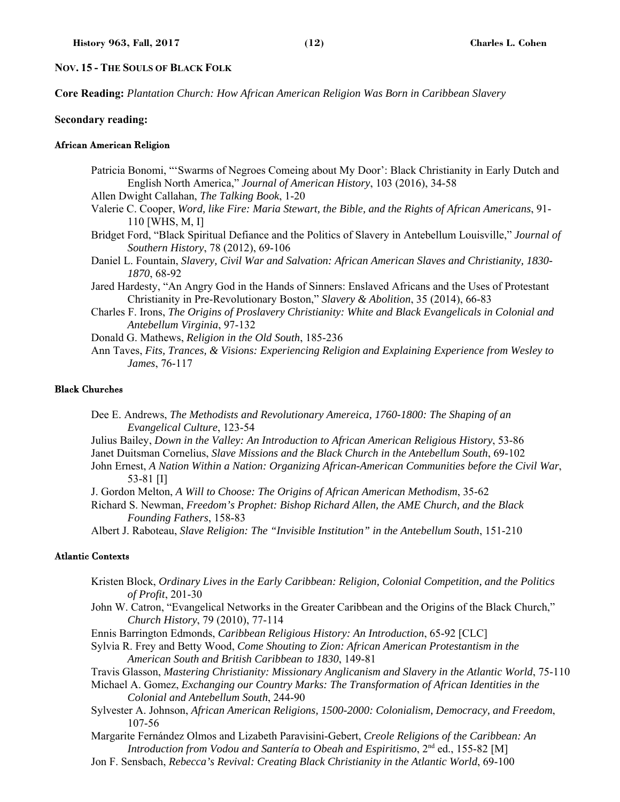### **NOV. 15 - THE SOULS OF BLACK FOLK**

**Core Reading:** *Plantation Church: How African American Religion Was Born in Caribbean Slavery*

#### **Secondary reading:**

#### African American Religion

Patricia Bonomi, "'Swarms of Negroes Comeing about My Door': Black Christianity in Early Dutch and English North America," *Journal of American History*, 103 (2016), 34-58

Allen Dwight Callahan, *The Talking Book*, 1-20

- Valerie C. Cooper, *Word, like Fire: Maria Stewart, the Bible, and the Rights of African Americans*, 91- 110 [WHS, M, I]
- Bridget Ford, "Black Spiritual Defiance and the Politics of Slavery in Antebellum Louisville," *Journal of Southern History*, 78 (2012), 69-106
- Daniel L. Fountain, *Slavery, Civil War and Salvation: African American Slaves and Christianity, 1830- 1870*, 68-92
- Jared Hardesty, "An Angry God in the Hands of Sinners: Enslaved Africans and the Uses of Protestant Christianity in Pre-Revolutionary Boston," *Slavery & Abolition*, 35 (2014), 66-83
- Charles F. Irons, *The Origins of Proslavery Christianity: White and Black Evangelicals in Colonial and Antebellum Virginia*, 97-132
- Donald G. Mathews, *Religion in the Old South*, 185-236
- Ann Taves, *Fits, Trances, & Visions: Experiencing Religion and Explaining Experience from Wesley to James*, 76-117

## Black Churches

- Dee E. Andrews, *The Methodists and Revolutionary Amereica, 1760-1800: The Shaping of an Evangelical Culture*, 123-54
- Julius Bailey, *Down in the Valley: An Introduction to African American Religious History*, 53-86 Janet Duitsman Cornelius, *Slave Missions and the Black Church in the Antebellum South*, 69-102
- John Ernest, *A Nation Within a Nation: Organizing African-American Communities before the Civil War*, 53-81 [I]
- J. Gordon Melton, *A Will to Choose: The Origins of African American Methodism*, 35-62
- Richard S. Newman, *Freedom's Prophet: Bishop Richard Allen, the AME Church, and the Black Founding Fathers*, 158-83
- Albert J. Raboteau, *Slave Religion: The "Invisible Institution" in the Antebellum South*, 151-210

#### Atlantic Contexts

- Kristen Block, *Ordinary Lives in the Early Caribbean: Religion, Colonial Competition, and the Politics of Profit*, 201-30
- John W. Catron, "Evangelical Networks in the Greater Caribbean and the Origins of the Black Church," *Church History*, 79 (2010), 77-114
- Ennis Barrington Edmonds, *Caribbean Religious History: An Introduction*, 65-92 [CLC]
- Sylvia R. Frey and Betty Wood, *Come Shouting to Zion: African American Protestantism in the American South and British Caribbean to 1830*, 149-81
- Travis Glasson, *Mastering Christianity: Missionary Anglicanism and Slavery in the Atlantic World*, 75-110

Michael A. Gomez, *Exchanging our Country Marks: The Transformation of African Identities in the Colonial and Antebellum South*, 244-90

- Sylvester A. Johnson, *African American Religions, 1500-2000: Colonialism, Democracy, and Freedom*, 107-56
- Margarite Fernández Olmos and Lizabeth Paravisini-Gebert, *Creole Religions of the Caribbean: An Introduction from Vodou and Santería to Obeah and Espiritismo*, 2nd ed., 155-82 [M]
- Jon F. Sensbach, *Rebecca's Revival: Creating Black Christianity in the Atlantic World*, 69-100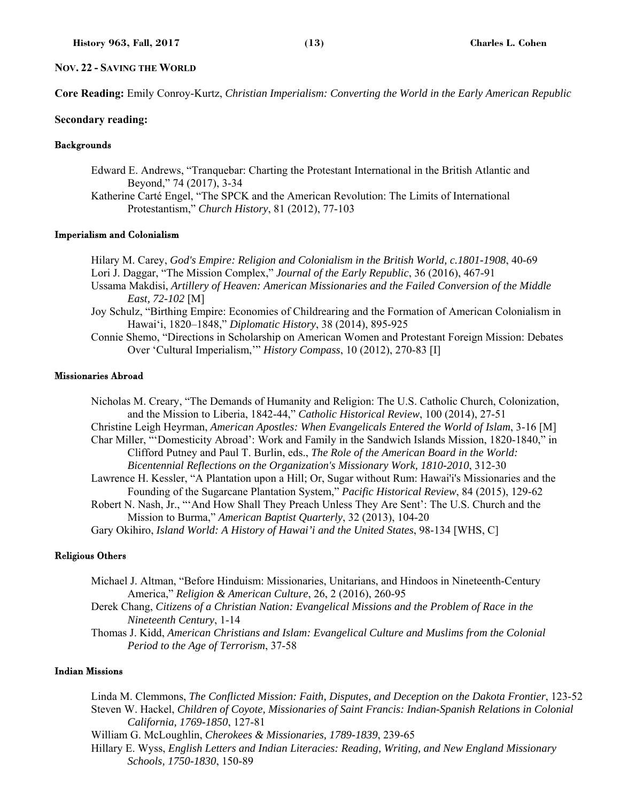### **NOV. 22 - SAVING THE WORLD**

**Core Reading:** Emily Conroy-Kurtz, *Christian Imperialism: Converting the World in the Early American Republic*

#### **Secondary reading:**

## **Backgrounds**

Edward E. Andrews, "Tranquebar: Charting the Protestant International in the British Atlantic and Beyond," 74 (2017), 3-34

Katherine Carté Engel, "The SPCK and the American Revolution: The Limits of International Protestantism," *Church History*, 81 (2012), 77-103

### Imperialism and Colonialism

Hilary M. Carey, *God's Empire: Religion and Colonialism in the British World, c.1801-1908*, 40-69 Lori J. Daggar, "The Mission Complex," *Journal of the Early Republic*, 36 (2016), 467-91

Ussama Makdisi, *Artillery of Heaven: American Missionaries and the Failed Conversion of the Middle East, 72-102* [M]

Joy Schulz, "Birthing Empire: Economies of Childrearing and the Formation of American Colonialism in Hawai'i, 1820–1848," *Diplomatic History*, 38 (2014), 895-925

Connie Shemo, "Directions in Scholarship on American Women and Protestant Foreign Mission: Debates Over 'Cultural Imperialism,'" *History Compass*, 10 (2012), 270-83 [I]

### Missionaries Abroad

Nicholas M. Creary, "The Demands of Humanity and Religion: The U.S. Catholic Church, Colonization, and the Mission to Liberia, 1842-44," *Catholic Historical Review*, 100 (2014), 27-51 Christine Leigh Heyrman, *American Apostles: When Evangelicals Entered the World of Islam*, 3-16 [M] Char Miller, "'Domesticity Abroad': Work and Family in the Sandwich Islands Mission, 1820-1840," in Clifford Putney and Paul T. Burlin, eds., *The Role of the American Board in the World: Bicentennial Reflections on the Organization's Missionary Work, 1810-2010*, 312-30 Lawrence H. Kessler, "A Plantation upon a Hill; Or, Sugar without Rum: Hawai'i's Missionaries and the Founding of the Sugarcane Plantation System," *Pacific Historical Review*, 84 (2015), 129-62 Robert N. Nash, Jr., "'And How Shall They Preach Unless They Are Sent': The U.S. Church and the Mission to Burma," *American Baptist Quarterly*, 32 (2013), 104-20 Gary Okihiro, *Island World: A History of Hawai'i and the United States*, 98-134 [WHS, C]

#### Religious Others

Michael J. Altman, "Before Hinduism: Missionaries, Unitarians, and Hindoos in Nineteenth-Century America," *Religion & American Culture*, 26, 2 (2016), 260-95

Derek Chang, *Citizens of a Christian Nation: Evangelical Missions and the Problem of Race in the Nineteenth Century*, 1-14

Thomas J. Kidd, *American Christians and Islam: Evangelical Culture and Muslims from the Colonial Period to the Age of Terrorism*, 37-58

## Indian Missions

Linda M. Clemmons, *The Conflicted Mission: Faith, Disputes, and Deception on the Dakota Frontier*, 123-52 Steven W. Hackel, *Children of Coyote, Missionaries of Saint Francis: Indian-Spanish Relations in Colonial California, 1769-1850*, 127-81

William G. McLoughlin, *Cherokees & Missionaries, 1789-1839*, 239-65

Hillary E. Wyss, *English Letters and Indian Literacies: Reading, Writing, and New England Missionary Schools, 1750-1830*, 150-89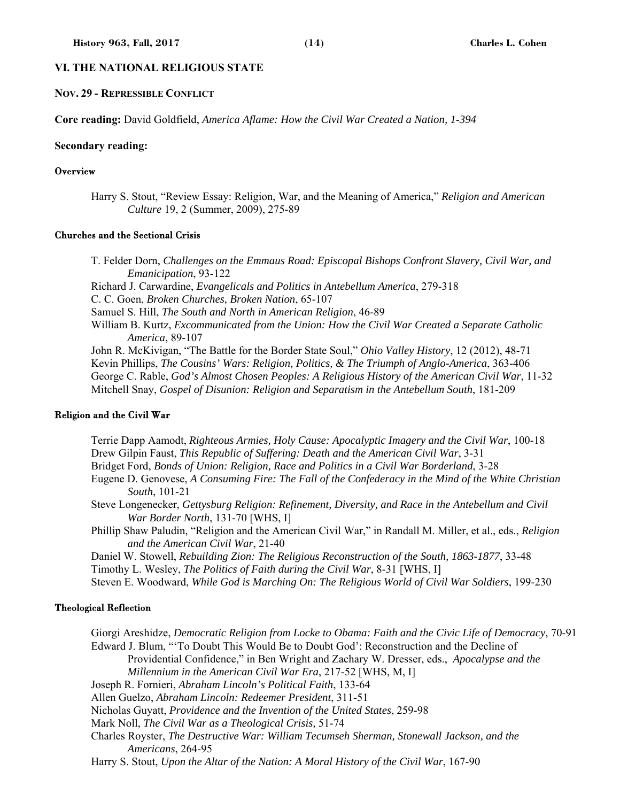## **VI. THE NATIONAL RELIGIOUS STATE**

#### **NOV. 29 - REPRESSIBLE CONFLICT**

**Core reading:** David Goldfield, *America Aflame: How the Civil War Created a Nation, 1-394* 

#### **Secondary reading:**

#### **Overview**

Harry S. Stout, "Review Essay: Religion, War, and the Meaning of America," *Religion and American Culture* 19, 2 (Summer, 2009), 275-89

#### Churches and the Sectional Crisis

T. Felder Dorn, *Challenges on the Emmaus Road: Episcopal Bishops Confront Slavery, Civil War, and Emanicipation*, 93-122 Richard J. Carwardine, *Evangelicals and Politics in Antebellum America*, 279-318 C. C. Goen, *Broken Churches, Broken Nation*, 65-107 Samuel S. Hill, *The South and North in American Religion*, 46-89 William B. Kurtz, *Excommunicated from the Union: How the Civil War Created a Separate Catholic America*, 89-107 John R. McKivigan, "The Battle for the Border State Soul," *Ohio Valley History*, 12 (2012), 48-71 Kevin Phillips, *The Cousins' Wars: Religion, Politics, & The Triumph of Anglo-America*, 363-406 George C. Rable, *God's Almost Chosen Peoples: A Religious History of the American Civil War*, 11-32 Mitchell Snay, *Gospel of Disunion: Religion and Separatism in the Antebellum South*, 181-209

#### Religion and the Civil War

Terrie Dapp Aamodt, *Righteous Armies, Holy Cause: Apocalyptic Imagery and the Civil War*, 100-18 Drew Gilpin Faust, *This Republic of Suffering: Death and the American Civil War*, 3-31 Bridget Ford, *Bonds of Union: Religion, Race and Politics in a Civil War Borderland*, 3-28 Eugene D. Genovese, *A Consuming Fire: The Fall of the Confederacy in the Mind of the White Christian South*, 101-21 Steve Longenecker, *Gettysburg Religion: Refinement, Diversity, and Race in the Antebellum and Civil War Border North*, 131-70 [WHS, I] Phillip Shaw Paludin, "Religion and the American Civil War," in Randall M. Miller, et al., eds., *Religion and the American Civil War*, 21-40 Daniel W. Stowell, *Rebuilding Zion: The Religious Reconstruction of the South, 1863-1877*, 33-48

Timothy L. Wesley, *The Politics of Faith during the Civil War*, 8-31 [WHS, I] Steven E. Woodward, *While God is Marching On: The Religious World of Civil War Soldiers*, 199-230

#### Theological Reflection

Giorgi Areshidze, *Democratic Religion from Locke to Obama: Faith and the Civic Life of Democracy*, 70-91 Edward J. Blum, "'To Doubt This Would Be to Doubt God': Reconstruction and the Decline of Providential Confidence," in Ben Wright and Zachary W. Dresser, eds., *Apocalypse and the Millennium in the American Civil War Era*, 217-52 [WHS, M, I] Joseph R. Fornieri, *Abraham Lincoln's Political Faith*, 133-64 Allen Guelzo, *Abraham Lincoln: Redeemer President*, 311-51 Nicholas Guyatt, *Providence and the Invention of the United States*, 259-98 Mark Noll, *The Civil War as a Theological Crisis,* 51-74

Charles Royster, *The Destructive War: William Tecumseh Sherman, Stonewall Jackson, and the Americans*, 264-95

Harry S. Stout, *Upon the Altar of the Nation: A Moral History of the Civil War*, 167-90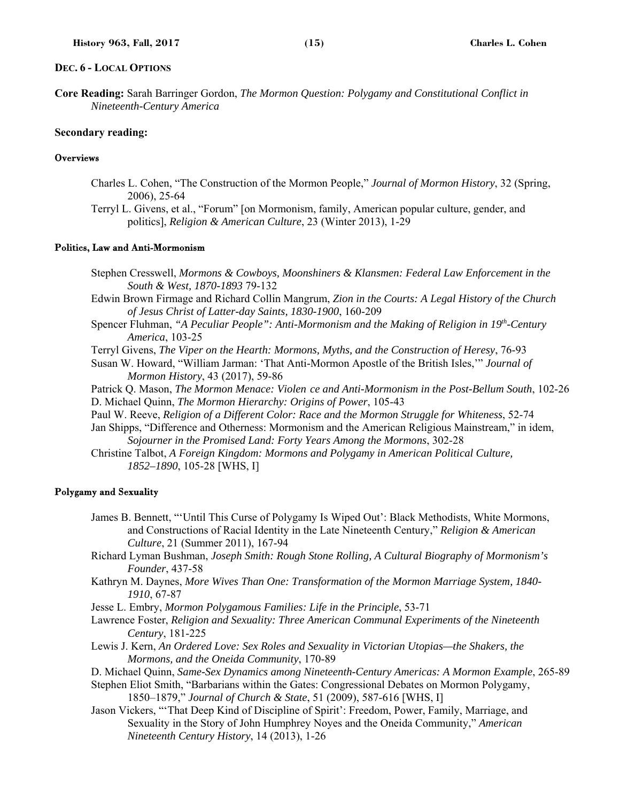#### **DEC. 6 - LOCAL OPTIONS**

**Core Reading:** Sarah Barringer Gordon, *The Mormon Question: Polygamy and Constitutional Conflict in Nineteenth-Century America*

## **Secondary reading:**

#### **Overviews**

- Charles L. Cohen, "The Construction of the Mormon People," *Journal of Mormon History*, 32 (Spring, 2006), 25-64
- Terryl L. Givens, et al., "Forum" [on Mormonism, family, American popular culture, gender, and politics], *Religion & American Culture*, 23 (Winter 2013), 1-29

### Politics, Law and Anti-Mormonism

Stephen Cresswell, *Mormons & Cowboys, Moonshiners & Klansmen: Federal Law Enforcement in the South & West, 1870-1893* 79-132

Edwin Brown Firmage and Richard Collin Mangrum, *Zion in the Courts: A Legal History of the Church of Jesus Christ of Latter-day Saints, 1830-1900*, 160-209

- Spencer Fluhman, *"A Peculiar People": Anti-Mormonism and the Making of Religion in 19th-Century America*, 103-25
- Terryl Givens, *The Viper on the Hearth: Mormons, Myths, and the Construction of Heresy*, 76-93
- Susan W. Howard, "William Jarman: 'That Anti-Mormon Apostle of the British Isles,'" *Journal of Mormon History*, 43 (2017), 59-86

Patrick Q. Mason, *The Mormon Menace: Violen ce and Anti-Mormonism in the Post-Bellum South*, 102-26 D. Michael Quinn, *The Mormon Hierarchy: Origins of Power*, 105-43

Paul W. Reeve, *Religion of a Different Color: Race and the Mormon Struggle for Whiteness*, 52-74

Jan Shipps, "Difference and Otherness: Mormonism and the American Religious Mainstream," in idem, *Sojourner in the Promised Land: Forty Years Among the Mormons*, 302-28

Christine Talbot, *A Foreign Kingdom: Mormons and Polygamy in American Political Culture, 1852–1890*, 105-28 [WHS, I]

## Polygamy and Sexuality

- James B. Bennett, "'Until This Curse of Polygamy Is Wiped Out': Black Methodists, White Mormons, and Constructions of Racial Identity in the Late Nineteenth Century," *Religion & American Culture*, 21 (Summer 2011), 167-94
- Richard Lyman Bushman, *Joseph Smith: Rough Stone Rolling, A Cultural Biography of Mormonism's Founder*, 437-58
- Kathryn M. Daynes, *More Wives Than One: Transformation of the Mormon Marriage System, 1840- 1910*, 67-87
- Jesse L. Embry, *Mormon Polygamous Families: Life in the Principle*, 53-71
- Lawrence Foster, *Religion and Sexuality: Three American Communal Experiments of the Nineteenth Century*, 181-225
- Lewis J. Kern, *An Ordered Love: Sex Roles and Sexuality in Victorian Utopias—the Shakers, the Mormons, and the Oneida Community*, 170-89

D. Michael Quinn, *Same-Sex Dynamics among Nineteenth-Century Americas: A Mormon Example*, 265-89

Stephen Eliot Smith, "Barbarians within the Gates: Congressional Debates on Mormon Polygamy, 1850–1879," *Journal of Church & State*, 51 (2009), 587-616 [WHS, I]

Jason Vickers, "'That Deep Kind of Discipline of Spirit': Freedom, Power, Family, Marriage, and Sexuality in the Story of John Humphrey Noyes and the Oneida Community," *American Nineteenth Century History*, 14 (2013), 1-26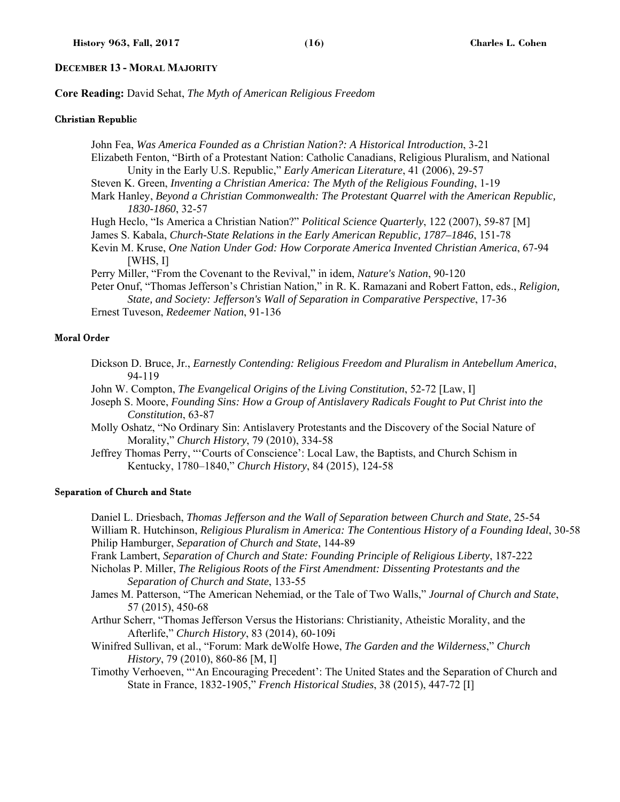#### **DECEMBER 13 - MORAL MAJORITY**

**Core Reading:** David Sehat, *The Myth of American Religious Freedom*

#### Christian Republic

John Fea, *Was America Founded as a Christian Nation?: A Historical Introduction*, 3-21 Elizabeth Fenton, "Birth of a Protestant Nation: Catholic Canadians, Religious Pluralism, and National Unity in the Early U.S. Republic," *Early American Literature*, 41 (2006), 29-57 Steven K. Green, *Inventing a Christian America: The Myth of the Religious Founding*, 1-19 Mark Hanley, *Beyond a Christian Commonwealth: The Protestant Quarrel with the American Republic, 1830-1860*, 32-57 Hugh Heclo, "Is America a Christian Nation?" *Political Science Quarterly*, 122 (2007), 59-87 [M] James S. Kabala, *Church-State Relations in the Early American Republic, 1787–1846*, 151-78 Kevin M. Kruse, *One Nation Under God: How Corporate America Invented Christian America*, 67-94  $[WHS, I]$ Perry Miller, "From the Covenant to the Revival," in idem, *Nature's Nation*, 90-120 Peter Onuf, "Thomas Jefferson's Christian Nation," in R. K. Ramazani and Robert Fatton, eds., *Religion, State, and Society: Jefferson's Wall of Separation in Comparative Perspective*, 17-36

Ernest Tuveson, *Redeemer Nation*, 91-136

### Moral Order

- Dickson D. Bruce, Jr., *Earnestly Contending: Religious Freedom and Pluralism in Antebellum America*, 94-119
- John W. Compton, *The Evangelical Origins of the Living Constitution*, 52-72 [Law, I]
- Joseph S. Moore, *Founding Sins: How a Group of Antislavery Radicals Fought to Put Christ into the Constitution*, 63-87
- Molly Oshatz, "No Ordinary Sin: Antislavery Protestants and the Discovery of the Social Nature of Morality," *Church History*, 79 (2010), 334-58
- Jeffrey Thomas Perry, "'Courts of Conscience': Local Law, the Baptists, and Church Schism in Kentucky, 1780–1840," *Church History*, 84 (2015), 124-58

#### Separation of Church and State

Daniel L. Driesbach, *Thomas Jefferson and the Wall of Separation between Church and State*, 25-54 William R. Hutchinson, *Religious Pluralism in America: The Contentious History of a Founding Ideal*, 30-58 Philip Hamburger, *Separation of Church and State*, 144-89

- Frank Lambert, *Separation of Church and State: Founding Principle of Religious Liberty*, 187-222
- Nicholas P. Miller, *The Religious Roots of the First Amendment: Dissenting Protestants and the Separation of Church and State*, 133-55
- James M. Patterson, "The American Nehemiad, or the Tale of Two Walls," *Journal of Church and State*, 57 (2015), 450-68
- Arthur Scherr, "Thomas Jefferson Versus the Historians: Christianity, Atheistic Morality, and the Afterlife," *Church History*, 83 (2014), 60-109i

Winifred Sullivan, et al., "Forum: Mark deWolfe Howe, *The Garden and the Wilderness*," *Church History*, 79 (2010), 860-86 [M, I]

Timothy Verhoeven, "'An Encouraging Precedent': The United States and the Separation of Church and State in France, 1832-1905," *French Historical Studies*, 38 (2015), 447-72 [I]